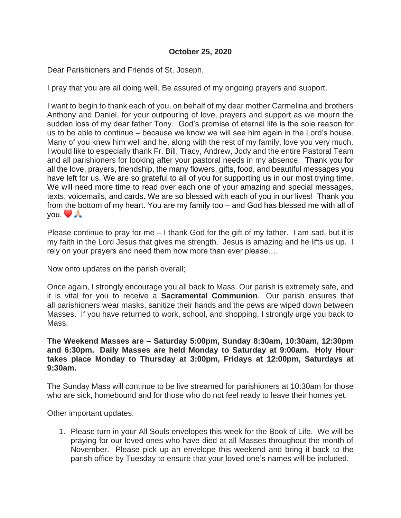## **October 25, 2020**

Dear Parishioners and Friends of St. Joseph,

I pray that you are all doing well. Be assured of my ongoing prayers and support.

I want to begin to thank each of you, on behalf of my dear mother Carmelina and brothers Anthony and Daniel, for your outpouring of love, prayers and support as we mourn the sudden loss of my dear father Tony. God's promise of eternal life is the sole reason for us to be able to continue – because we know we will see him again in the Lord's house. Many of you knew him well and he, along with the rest of my family, love you very much. I would like to especially thank Fr. Bill, Tracy, Andrew, Jody and the entire Pastoral Team and all parishioners for looking after your pastoral needs in my absence. Thank you for all the love, prayers, friendship, the many flowers, gifts, food, and beautiful messages you have left for us. We are so grateful to all of you for supporting us in our most trying time. We will need more time to read over each one of your amazing and special messages, texts, voicemails, and cards. We are so blessed with each of you in our lives! Thank you from the bottom of my heart. You are my family too – and God has blessed me with all of you.

Please continue to pray for me – I thank God for the gift of my father. I am sad, but it is my faith in the Lord Jesus that gives me strength. Jesus is amazing and he lifts us up. I rely on your prayers and need them now more than ever please….

Now onto updates on the parish overall;

Once again, I strongly encourage you all back to Mass. Our parish is extremely safe, and it is vital for you to receive a **Sacramental Communion**. Our parish ensures that all parishioners wear masks, sanitize their hands and the pews are wiped down between Masses. If you have returned to work, school, and shopping, I strongly urge you back to Mass.

## **The Weekend Masses are – Saturday 5:00pm, Sunday 8:30am, 10:30am, 12:30pm and 6:30pm. Daily Masses are held Monday to Saturday at 9:00am. Holy Hour takes place Monday to Thursday at 3:00pm, Fridays at 12:00pm, Saturdays at 9:30am.**

The Sunday Mass will continue to be live streamed for parishioners at 10:30am for those who are sick, homebound and for those who do not feel ready to leave their homes yet.

Other important updates:

1. Please turn in your All Souls envelopes this week for the Book of Life. We will be praying for our loved ones who have died at all Masses throughout the month of November. Please pick up an envelope this weekend and bring it back to the parish office by Tuesday to ensure that your loved one's names will be included.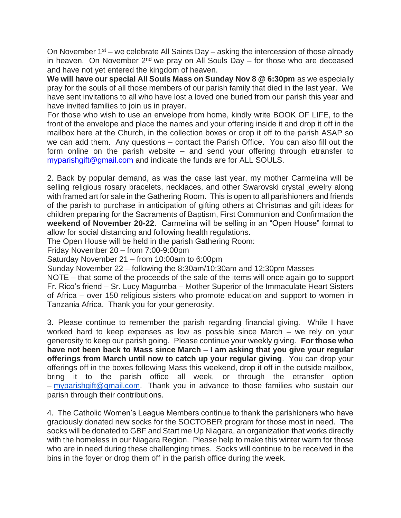On November  $1<sup>st</sup>$  – we celebrate All Saints Day – asking the intercession of those already in heaven. On November  $2^{nd}$  we pray on All Souls Day – for those who are deceased and have not yet entered the kingdom of heaven.

**We will have our special All Souls Mass on Sunday Nov 8 @ 6:30pm** as we especially pray for the souls of all those members of our parish family that died in the last year. We have sent invitations to all who have lost a loved one buried from our parish this year and have invited families to join us in prayer.

For those who wish to use an envelope from home, kindly write BOOK OF LIFE, to the front of the envelope and place the names and your offering inside it and drop it off in the mailbox here at the Church, in the collection boxes or drop it off to the parish ASAP so we can add them. Any questions – contact the Parish Office. You can also fill out the form online on the parish website – and send your offering through etransfer to [myparishgift@gmail.com](mailto:myparishgift@gmail.com) and indicate the funds are for ALL SOULS.

2. Back by popular demand, as was the case last year, my mother Carmelina will be selling religious rosary bracelets, necklaces, and other Swarovski crystal jewelry along with framed art for sale in the Gathering Room. This is open to all parishioners and friends of the parish to purchase in anticipation of gifting others at Christmas and gift ideas for children preparing for the Sacraments of Baptism, First Communion and Confirmation the **weekend of November 20-22**. Carmelina will be selling in an "Open House" format to allow for social distancing and following health regulations.

The Open House will be held in the parish Gathering Room:

Friday November 20 – from 7:00-9:00pm

Saturday November 21 – from 10:00am to 6:00pm

Sunday November 22 – following the 8:30am/10:30am and 12:30pm Masses

NOTE – that some of the proceeds of the sale of the items will once again go to support Fr. Rico's friend – Sr. Lucy Magumba – Mother Superior of the Immaculate Heart Sisters of Africa – over 150 religious sisters who promote education and support to women in Tanzania Africa. Thank you for your generosity.

3. Please continue to remember the parish regarding financial giving. While I have worked hard to keep expenses as low as possible since March – we rely on your generosity to keep our parish going. Please continue your weekly giving. **For those who have not been back to Mass since March – I am asking that you give your regular offerings from March until now to catch up your regular giving**. You can drop your offerings off in the boxes following Mass this weekend, drop it off in the outside mailbox, bring it to the parish office all week, or through the etransfer option – [myparishgift@gmail.com.](mailto:myparishgift@gmail.com) Thank you in advance to those families who sustain our parish through their contributions.

4. The Catholic Women's League Members continue to thank the parishioners who have graciously donated new socks for the SOCTOBER program for those most in need. The socks will be donated to GBF and Start me Up Niagara, an organization that works directly with the homeless in our Niagara Region. Please help to make this winter warm for those who are in need during these challenging times. Socks will continue to be received in the bins in the foyer or drop them off in the parish office during the week.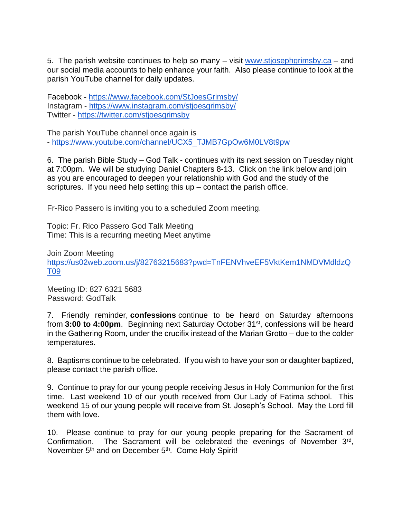5. The parish website continues to help so many – visit [www.stjosephgrimsby.ca](http://www.stjosephgrimsby.ca/) – and our social media accounts to help enhance your faith. Also please continue to look at the parish YouTube channel for daily updates.

Facebook - <https://www.facebook.com/StJoesGrimsby/> Instagram - <https://www.instagram.com/stjoesgrimsby/> Twitter - <https://twitter.com/stjoesgrimsby>

The parish YouTube channel once again is - [https://www.youtube.com/channel/UCX5\\_TJMB7GpOw6M0LV8t9pw](https://www.youtube.com/channel/UCX5_TJMB7GpOw6M0LV8t9pw)

6. The parish Bible Study – God Talk - continues with its next session on Tuesday night at 7:00pm. We will be studying Daniel Chapters 8-13. Click on the link below and join as you are encouraged to deepen your relationship with God and the study of the scriptures. If you need help setting this  $up$  – contact the parish office.

Fr-Rico Passero is inviting you to a scheduled Zoom meeting.

Topic: Fr. Rico Passero God Talk Meeting Time: This is a recurring meeting Meet anytime

Join Zoom Meeting [https://us02web.zoom.us/j/82763215683?pwd=TnFENVhveEF5VktKem1NMDVMdldzQ](https://us02web.zoom.us/j/82763215683?pwd=TnFENVhveEF5VktKem1NMDVMdldzQT09) [T09](https://us02web.zoom.us/j/82763215683?pwd=TnFENVhveEF5VktKem1NMDVMdldzQT09)

Meeting ID: 827 6321 5683 Password: GodTalk

7. Friendly reminder, **confessions** continue to be heard on Saturday afternoons from 3:00 to 4:00pm. Beginning next Saturday October 31<sup>st</sup>, confessions will be heard in the Gathering Room, under the crucifix instead of the Marian Grotto – due to the colder temperatures.

8. Baptisms continue to be celebrated. If you wish to have your son or daughter baptized, please contact the parish office.

9. Continue to pray for our young people receiving Jesus in Holy Communion for the first time. Last weekend 10 of our youth received from Our Lady of Fatima school. This weekend 15 of our young people will receive from St. Joseph's School. May the Lord fill them with love.

10. Please continue to pray for our young people preparing for the Sacrament of Confirmation. The Sacrament will be celebrated the evenings of November 3<sup>rd</sup>, November 5<sup>th</sup> and on December 5<sup>th</sup>. Come Holy Spirit!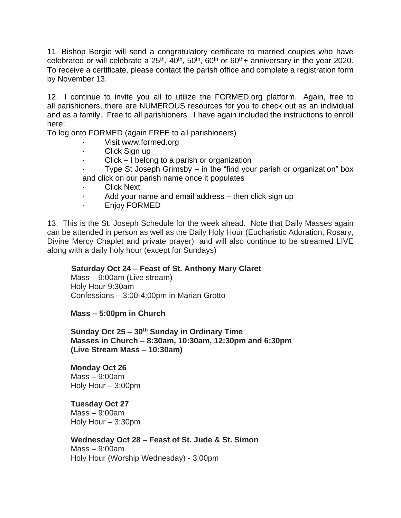11. Bishop Bergie will send a congratulatory certificate to married couples who have celebrated or will celebrate a  $25<sup>th</sup>$ ,  $40<sup>th</sup>$ ,  $50<sup>th</sup>$ ,  $60<sup>th</sup>$  or  $60<sup>th</sup>$ + anniversary in the year 2020. To receive a certificate, please contact the parish office and complete a registration form by November 13.

12. I continue to invite you all to utilize the FORMED.org platform. Again, free to all parishioners, there are NUMEROUS resources for you to check out as an individual and as a family. Free to all parishioners. I have again included the instructions to enroll here:

To log onto FORMED (again FREE to all parishioners)

- Visit [www.formed.org](http://www.formed.org/)
- Click Sign up
- · Click I belong to a parish or organization

Type St Joseph Grimsby – in the "find your parish or organization" box and click on our parish name once it populates

- **Click Next**
- Add your name and email address then click sign up
- Enjoy FORMED

13. This is the St. Joseph Schedule for the week ahead. Note that Daily Masses again can be attended in person as well as the Daily Holy Hour (Eucharistic Adoration, Rosary, Divine Mercy Chaplet and private prayer) and will also continue to be streamed LIVE along with a daily holy hour (except for Sundays)

# **Saturday Oct 24 – Feast of St. Anthony Mary Claret**

Mass – 9:00am (Live stream) Holy Hour 9:30am Confessions – 3:00-4:00pm in Marian Grotto

**Mass – 5:00pm in Church**

**Sunday Oct 25 – 30th Sunday in Ordinary Time Masses in Church – 8:30am, 10:30am, 12:30pm and 6:30pm (Live Stream Mass – 10:30am)**

## **Monday Oct 26**

Mass – 9:00am Holy Hour – 3:00pm

# **Tuesday Oct 27**

 $Mass - 9:00$ am Holy Hour – 3:30pm

# **Wednesday Oct 28 – Feast of St. Jude & St. Simon**

Mass – 9:00am Holy Hour (Worship Wednesday) - 3:00pm